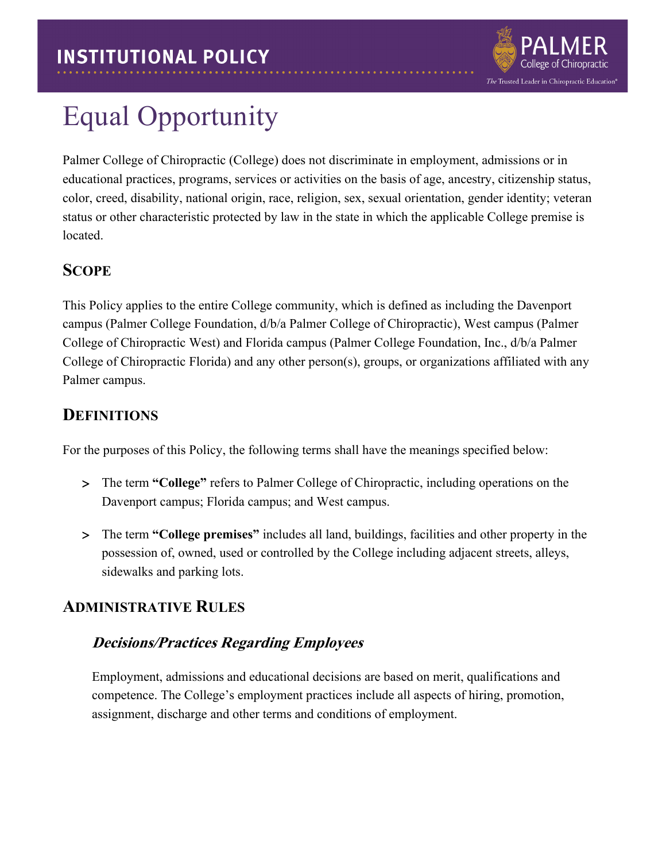

# Equal Opportunity

Palmer College of Chiropractic (College) does not discriminate in employment, admissions or in educational practices, programs, services or activities on the basis of age, ancestry, citizenship status, color, creed, disability, national origin, race, religion, sex, sexual orientation, gender identity; veteran status or other characteristic protected by law in the state in which the applicable College premise is located.

## **SCOPE**

This Policy applies to the entire College community, which is defined as including the Davenport campus (Palmer College Foundation, d/b/a Palmer College of Chiropractic), West campus (Palmer College of Chiropractic West) and Florida campus (Palmer College Foundation, Inc., d/b/a Palmer College of Chiropractic Florida) and any other person(s), groups, or organizations affiliated with any Palmer campus.

## **DEFINITIONS**

For the purposes of this Policy, the following terms shall have the meanings specified below:

- > The term **"College"** refers to Palmer College of Chiropractic, including operations on the Davenport campus; Florida campus; and West campus.
- > The term **"College premises"** includes all land, buildings, facilities and other property in the possession of, owned, used or controlled by the College including adjacent streets, alleys, sidewalks and parking lots.

## **ADMINISTRATIVE RULES**

### **Decisions/Practices Regarding Employees**

Employment, admissions and educational decisions are based on merit, qualifications and competence. The College's employment practices include all aspects of hiring, promotion, assignment, discharge and other terms and conditions of employment.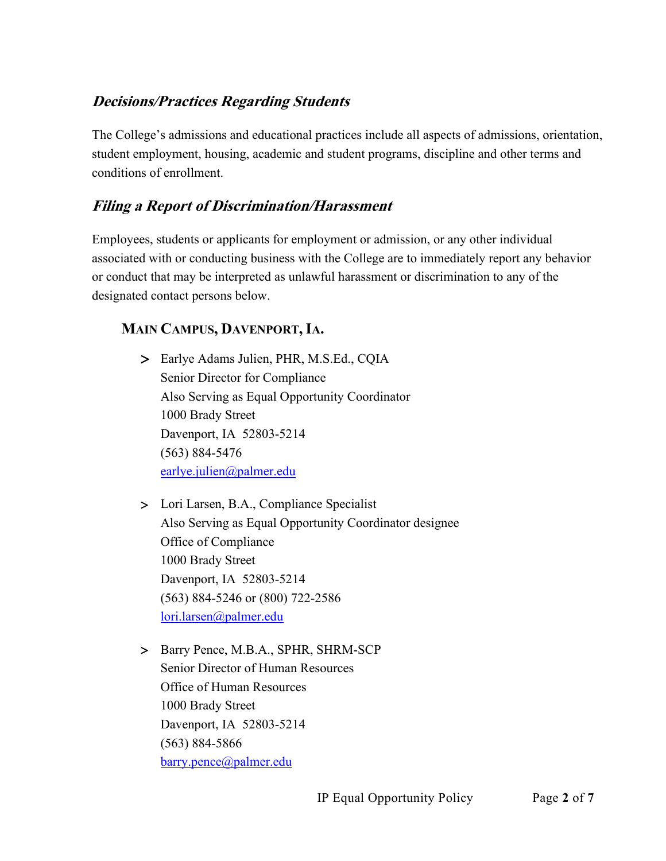### **Decisions/Practices Regarding Students**

The College's admissions and educational practices include all aspects of admissions, orientation, student employment, housing, academic and student programs, discipline and other terms and conditions of enrollment.

### **Filing a Report of Discrimination/Harassment**

Employees, students or applicants for employment or admission, or any other individual associated with or conducting business with the College are to immediately report any behavior or conduct that may be interpreted as unlawful harassment or discrimination to any of the designated contact persons below.

#### **MAIN CAMPUS, DAVENPORT,IA.**

- > Earlye Adams Julien, PHR, M.S.Ed., CQIA Senior Director for Compliance Also Serving as Equal Opportunity Coordinator 1000 Brady Street Davenport, IA 52803-5214 (563) 884-5476 [earlye.julien@palmer.edu](mailto:julien@palmer.edu)
- > Lori Larsen, B.A., Compliance Specialist Also Serving as Equal Opportunity Coordinator designee Office of Compliance 1000 Brady Street Davenport, IA 52803-5214 (563) 884-5246 or (800) 722-2586 [lori.larsen@palmer.edu](mailto:lori.larsen@palmer.edu)
- > Barry Pence, M.B.A., SPHR, SHRM-SCP Senior Director of Human Resources Office of Human Resources 1000 Brady Street Davenport, IA 52803-5214 (563) 884-5866 [barry.pence@palmer.edu](mailto:barry.pence@palmer.edu)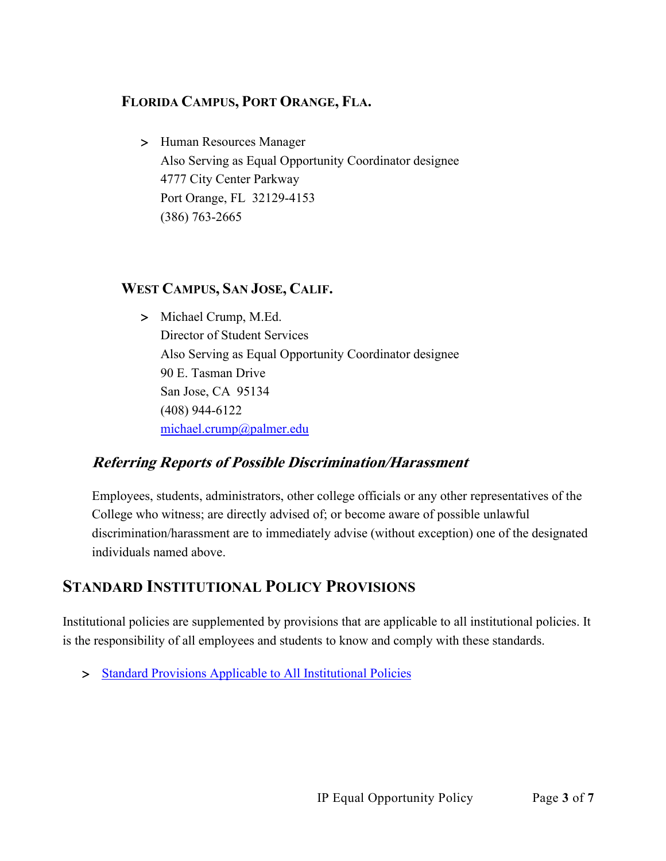### **FLORIDA CAMPUS, PORT ORANGE, FLA.**

> Human Resources Manager Also Serving as Equal Opportunity Coordinator designee 4777 City Center Parkway Port Orange, FL 32129-4153 (386) 763-2665

### **WEST CAMPUS, SAN JOSE, CALIF.**

> Michael Crump, M.Ed. Director of Student Services Also Serving as Equal Opportunity Coordinator designee 90 E. Tasman Drive San Jose, CA 95134 (408) 944-6122 [michael.crump@palmer.edu](mailto:michael.crump@palmer.edu) 

## **Referring Reports of Possible Discrimination/Harassment**

Employees, students, administrators, other college officials or any other representatives of the College who witness; are directly advised of; or become aware of possible unlawful discrimination/harassment are to immediately advise (without exception) one of the designated individuals named above.

## **STANDARD INSTITUTIONAL POLICY PROVISIONS**

Institutional policies are supplemented by provisions that are applicable to all institutional policies. It is the responsibility of all employees and students to know and comply with these standards.

> [Standard Provisions Applicable to All Institutional Policies](http://www.palmer.edu/uploadedFiles/Pages/Students/Resources_and_Offices/Handbook_and_Policies/_pdf/Standard-Provisions-Applicable-to-All-Institutional-Policies.pdf)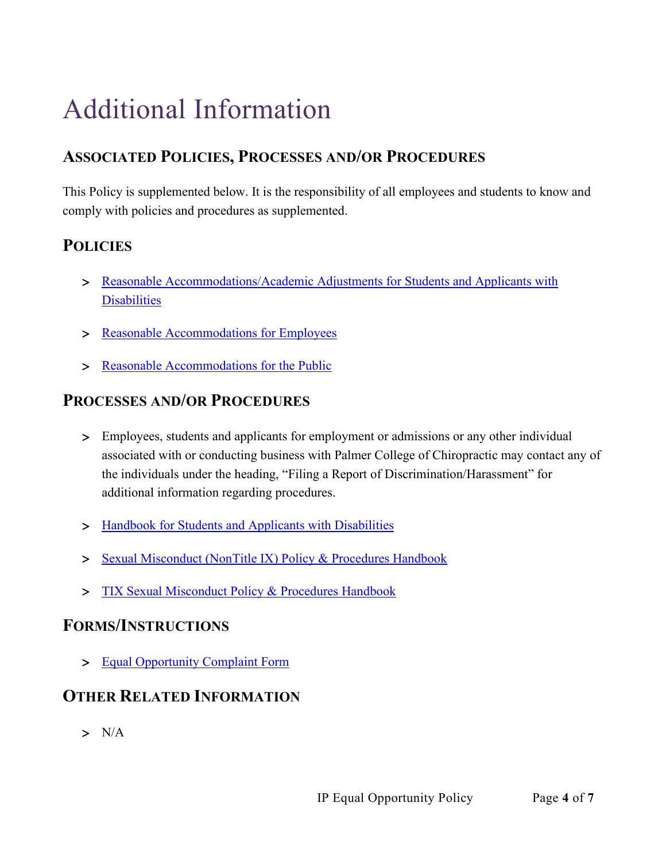# Additional Information

# **ASSOCIATED POLICIES, PROCESSES AND/OR PROCEDURES**

This Policy is supplemented below. It is the responsibility of all employees and students to know and comply with policies and procedures as supplemented.

## **POLICIES**

- > Reasonable Accommodations/Academic Adjustments for Students and Applicants with **[Disabilities](http://www.palmer.edu/uploadedFiles/Pages/Students/Resources_and_Offices/Handbook_and_Policies/_pdf/IP-ReasonableAccommodations-AcademicAdjustmentsforStudents.pdf)**
- > [Reasonable Accommodations for Employees](http://www.palmer.edu/uploadedFiles/Pages/Students/Resources_and_Offices/Handbook_and_Policies/_pdf/IP-ReasonableAccommodationsforEmployees.pdf)
- > [Reasonable Accommodations for the Public](http://www.palmer.edu/uploadedFiles/Pages/Students/Resources_and_Offices/Handbook_and_Policies/_pdf/IP-Reasonable-Accommodations-for-the-Public.pdf)

## **PROCESSES AND/OR PROCEDURES**

- > Employees, students and applicants for employment or admissions or any other individual associated with or conducting business with Palmer College of Chiropractic may contact any of the individuals under the heading, "Filing a Report of Discrimination/Harassment" for additional information regarding procedures.
- > Handbook for Students and Applicants with Disabilities
- > [Sexual Misconduct \(NonTitle IX\) Policy & Procedures Handbook](https://www.palmer.edu/wp-content/uploads/2021/12/ip-non-tix-sexual-misconduct-handbook.pdf)
- > [TIX Sexual Misconduct Policy & Procedures Handbook](https://www.palmer.edu/wp-content/uploads/2021/12/ip-tix-sexual-misconduct-handbook.pdf)

## **FORMS/INSTRUCTIONS**

> [Equal Opportunity Complaint Form](https://cm.maxient.com/reportingform.php?PalmerCollege&layout_id=0)

## **OTHER RELATED INFORMATION**

 $> N/A$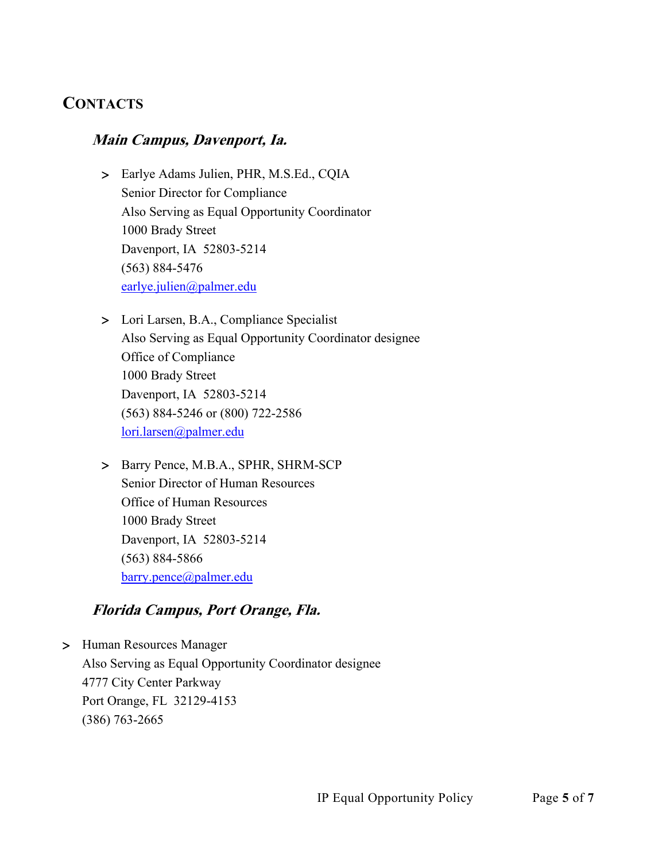## **CONTACTS**

### **Main Campus, Davenport, Ia.**

- > Earlye Adams Julien, PHR, M.S.Ed., CQIA Senior Director for Compliance Also Serving as Equal Opportunity Coordinator 1000 Brady Street Davenport, IA 52803-5214 (563) 884-5476 [earlye.julien@palmer.edu](mailto:earlye.julien@palmer.edu)
- > Lori Larsen, B.A., Compliance Specialist Also Serving as Equal Opportunity Coordinator designee Office of Compliance 1000 Brady Street Davenport, IA 52803-5214 (563) 884-5246 or (800) 722-2586 [lori.larsen@palmer.edu](mailto:lori.larsen@palmer.edu)
- > Barry Pence, M.B.A., SPHR, SHRM-SCP Senior Director of Human Resources Office of Human Resources 1000 Brady Street Davenport, IA 52803-5214 (563) 884-5866 [barry.pence@palmer.edu](mailto:barry.pence@palmer.edu)

#### **Florida Campus, Port Orange, Fla.**

> Human Resources Manager Also Serving as Equal Opportunity Coordinator designee 4777 City Center Parkway Port Orange, FL 32129-4153 (386) 763-2665